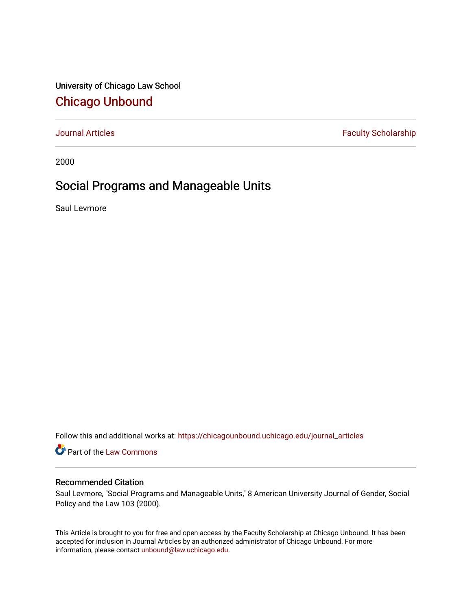University of Chicago Law School [Chicago Unbound](https://chicagounbound.uchicago.edu/)

[Journal Articles](https://chicagounbound.uchicago.edu/journal_articles) **Faculty Scholarship Faculty Scholarship** 

2000

# Social Programs and Manageable Units

Saul Levmore

Follow this and additional works at: [https://chicagounbound.uchicago.edu/journal\\_articles](https://chicagounbound.uchicago.edu/journal_articles?utm_source=chicagounbound.uchicago.edu%2Fjournal_articles%2F1632&utm_medium=PDF&utm_campaign=PDFCoverPages) 

Part of the [Law Commons](http://network.bepress.com/hgg/discipline/578?utm_source=chicagounbound.uchicago.edu%2Fjournal_articles%2F1632&utm_medium=PDF&utm_campaign=PDFCoverPages)

## Recommended Citation

Saul Levmore, "Social Programs and Manageable Units," 8 American University Journal of Gender, Social Policy and the Law 103 (2000).

This Article is brought to you for free and open access by the Faculty Scholarship at Chicago Unbound. It has been accepted for inclusion in Journal Articles by an authorized administrator of Chicago Unbound. For more information, please contact [unbound@law.uchicago.edu](mailto:unbound@law.uchicago.edu).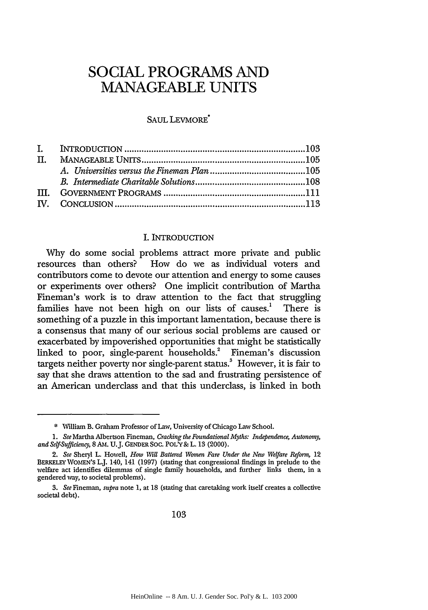# **SOCIAL PROGRAMS AND MANAGEABLE UNITS**

SAUL LEVMORE"

| $\Pi$ . |  |
|---------|--|
|         |  |
|         |  |
|         |  |
|         |  |
|         |  |

### I. INTRODUCTION

Why do some social problems attract more private and public resources than others? How do we as individual voters and contributors come to devote our attention and energy to some causes or experiments over others? One implicit contribution of Martha Fineman's work is to draw attention to the fact that struggling families have not been high on our lists of causes.<sup>1</sup> There is something of a puzzle in this important lamentation, because there is a consensus that many of our serious social problems are caused or exacerbated by impoverished opportunities that might be statistically linked to poor, single-parent households.<sup>2</sup> Fineman's discussion targets neither poverty nor single-parent status. $3$  However, it is fair to say that she draws attention to the sad and frustrating persistence of an American underclass and that this underclass, is linked in both

<sup>\*</sup> William B. Graham Professor of Law, University of Chicago Law School.

<sup>1.</sup> *See* Martha Albertson Fineman, *Cracking the Foundational Myths: Independence, Autonomy, and Self-Sufficiency,* 8 *AM.* U.J. GENDER Soc. POL'Y **&** L. **13** (2000).

<sup>2.</sup> *See* Sheryl L. Howell, *How Will Battered Women Fare Under the New Welfare Reform,* 12 BERKELEY WOMEN'S L.J. 140, 141 (1997) (stating that congressional findings in prelude to the welfare act identifies dilemmas of single family households, and further links them, in a gendered way, to societal problems).

<sup>3.</sup> *See* Fineman, *supra* note 1, at 18 (stating that caretaking work itself creates a collective societal debt).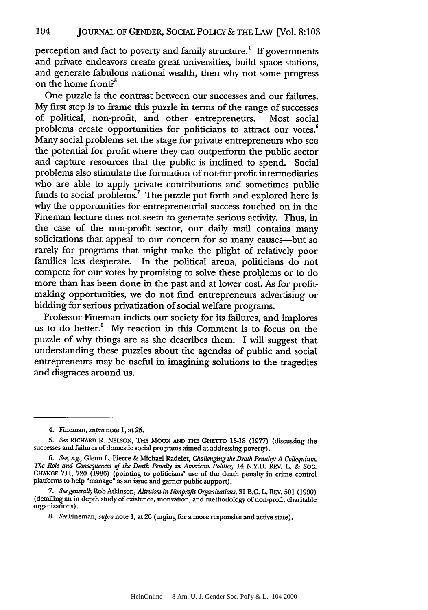perception and fact to poverty and family structure.<sup>4</sup> If governments and private endeavors create great universities, build space stations, and generate fabulous national wealth, then why not some progress on the home front?<sup>5</sup>

One puzzle is the contrast between our successes and our failures. My first step is to frame this puzzle in terms of the range of successes of political, non-profit, and other entrepreneurs. Most social problems create opportunities for politicians to attract our votes.<sup>6</sup> Many social problems set the stage for private entrepreneurs who see the potential for profit where they can outperform the public sector and capture resources that the public is inclined to spend. Social problems also stimulate the formation of not-for-profit intermediaries who are able to apply private contributions and sometimes public funds to social problems.<sup>7</sup> The puzzle put forth and explored here is why the opportunities for entrepreneurial success touched on in the Fineman lecture does not seem to generate serious activity. Thus, in the case of the non-profit sector, our daily mail contains many solicitations that appeal to our concern for so many causes-but so rarely for programs that might make the plight of relatively poor families less desperate. In the political arena, politicians do not compete for our votes by promising to solve these problems or to do more than has been done in the past and at lower cost. As for profitmaking opportunities, we do not find entrepreneurs advertising or bidding for serious privatization of social welfare programs.

Professor Fineman indicts our society for its failures, and implores us to do better.<sup>8</sup> My reaction in this Comment is to focus on the puzzle of why things are as she describes them. I will suggest that understanding these puzzles about the agendas of public and social entrepreneurs may be useful in imagining solutions to the tragedies and disgraces around us.

<sup>4.</sup> Fineman, *supra* note 1, at **25.**

**<sup>5.</sup>** *See* RIcHARD R NELSON, THE MOON AND THE GHETrO **13-18** (1977) (discussing the successes and failures of domestic social programs aimed at addressing poverty).

*<sup>6.</sup> See, e.g.,* Glenn L. Pierce **&** Michael Radelet, *Challenging the Death Penalty: A Colloquium, The Role and Consequences of the Death Penalty in American Politics,* 14 **N.Y.U.** REV. L. & **SOC.** CHANGE 711, 720 (1986) (pointing to politicians' use of the death penalty in crime control platforms to help "manage" as an issue and garner public support).

<sup>7.</sup> *See generally* Rob Atkinson, *Altruism in Nonprofit Organizations,* 31 B.C. L. REV. 501 (1990) (detailing an in depth study of existence, motivation, and methodology of non-profit charitable organizations).

**<sup>8.</sup>** SeeFineman, supra note **1,** at **26** (urging for a more responsive and active state).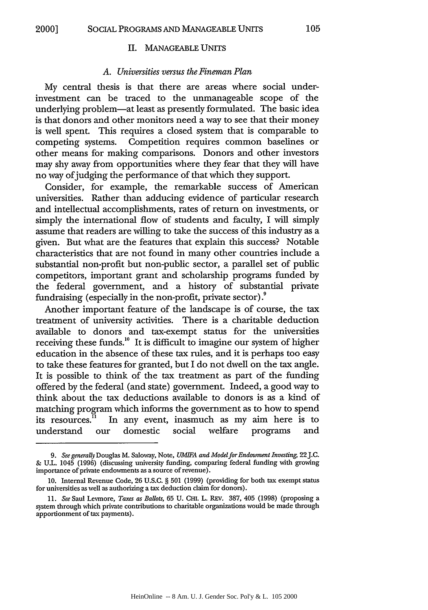#### II. MANAGEABLE UNITS

#### *A. Universities versus the Fineman Plan*

My central thesis is that there are areas where social underinvestment can be traced to the unmanageable scope of the underlying problem-at least as presently formulated. The basic idea is that donors and other monitors need a way to see that their money is well spent. This requires a closed system that is comparable to competing systems. Competition requires common baselines or other means for making comparisons. Donors and other investors may shy away from opportunities where they fear that they will have no way of judging the performance of that which they support.

Consider, for example, the remarkable success of American universities. Rather than adducing evidence of particular research and intellectual accomplishments, rates of return on investments, or simply the international flow of students and faculty, I will simply assume that readers are willing to take the success of this industry as a given. But what are the features that explain this success? Notable characteristics that are not found in many other countries include a substantial non-profit but non-public sector, a parallel set of public competitors, important grant and scholarship programs funded by the federal government, and a history of substantial private fundraising (especially in the non-profit, private sector).

Another important feature of the landscape is of course, the tax treatment of university activities. There is a charitable deduction available to donors and tax-exempt status for the universities receiving these funds.<sup>10</sup> It is difficult to imagine our system of higher education in the absence of these tax rules, and it is perhaps too easy to take these features for granted, but I do not dwell on the tax angle. It is possible to think of the tax treatment as part of the funding offered by the federal (and state) government. Indeed, a good way to think about the tax deductions available to donors is as a kind of matching program which informs the government as to how to spend its resources." In any event, inasmuch as my aim here is to understand our domestic social welfare programs and

*<sup>9.</sup> See generally* Douglas M. Saloway, Note, *UMIFA and Model for Endowrment Investing, 22* **J.C.** & U.L. 1045 (1996) (discussing university funding, comparing federal funding with growing importance of private endowments as a source of revenue).

<sup>10.</sup> Internal Revenue Code, 26 U.S.C. § 501 (1999) (providing for both tax exempt status for universities as well as authorizing a tax deduction claim for donors).

<sup>11.</sup> *See* Saul Levmore, *Taxes as Ballots,* 65 U. CHI. L. REV. 387, 405 (1998) (proposing a system through which private contributions to charitable organizations would be made through apportionment of tax payments).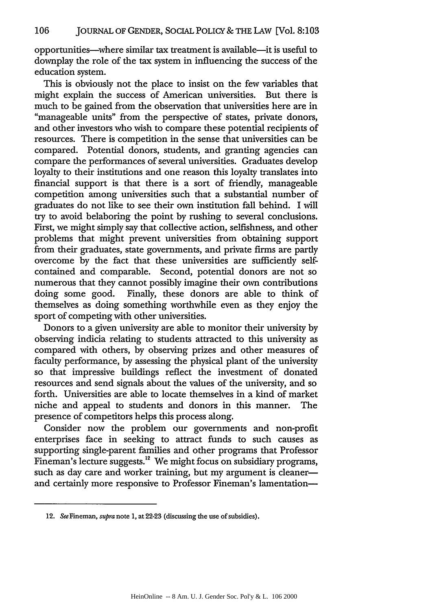opportunities-where similar tax treatment is available-it is useful to downplay the role of the tax system in influencing the success of the education system.

This is obviously not the place to insist on the few variables that might explain the success of American universities. But there is much to be gained from the observation that universities here are in "manageable units" from the perspective of states, private donors, and other investors who wish to compare these potential recipients of resources. There is competition in the sense that universities can be compared. Potential donors, students, and granting agencies can compare the performances of several universities. Graduates develop loyalty to their institutions and one reason this loyalty translates into financial support is that there is a sort of friendly, manageable competition among universities such that a substantial number of graduates do not like to see their own institution fall behind. I will try to avoid belaboring the point **by** rushing to several conclusions. First, we might simply say that collective action, selfishness, and other problems that might prevent universities from obtaining support from their graduates, state governments, and private firms are partly overcome **by** the fact that these universities are sufficiently selfcontained and comparable. Second, potential donors are not so numerous that they cannot possibly imagine their own contributions doing some good. Finally, these donors are able to think of themselves as doing something worthwhile even as they enjoy the sport of competing with other universities.

Donors to a given university are able to monitor their university **by** observing indicia relating to students attracted to this university as compared with others, **by** observing prizes and other measures of faculty performance, **by** assessing the physical plant of the university so that impressive buildings reflect the investment of donated resources and send signals about the values of the university, and so forth. Universities are able to locate themselves in a kind of market niche and appeal to students and donors in this manner. The presence of competitors helps this process along.

Consider now the problem our governments and non-profit enterprises face in seeking to attract funds to such causes as supporting single-parent families and other programs that Professor Fineman's lecture suggests.<sup>12</sup> We might focus on subsidiary programs, such as day care and worker training, but my argument is cleanerand certainly more responsive to Professor Fineman's lamentation-

<sup>12.</sup> SeeFineman, supra note **1,** at **22-23** (discussing the use of subsidies).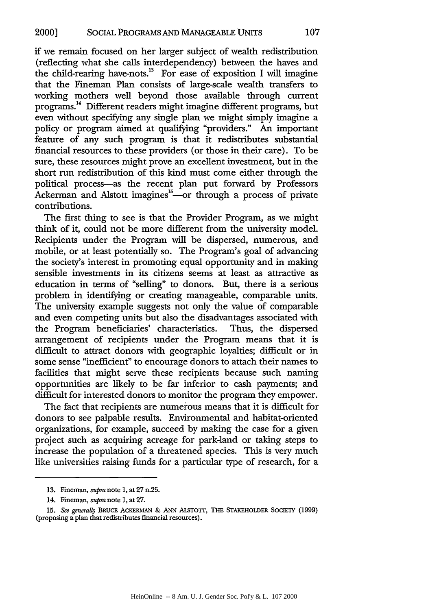if we remain focused on her larger subject of wealth redistribution (reflecting what she calls interdependency) between the haves and the child-rearing have-nots.<sup>13</sup> For ease of exposition I will imagine that the Fineman Plan consists of large-scale wealth transfers to working mothers well beyond those available through current programs. 4 Different readers might imagine different programs, but even without specifying any single plan we might simply imagine a policy or program aimed at qualifying "providers." An important feature of any such program is that it redistributes substantial financial resources to these providers (or those in their care). To be sure, these resources might prove an excellent investment, but in the short run redistribution of this kind must come either through the political process-as the recent plan put forward by Professors Ackerman and Alstott imagines<sup>15</sup>—or through a process of private contributions.

The first thing to see is that the Provider Program, as we might think of it, could not be more different from the university model. Recipients under the Program will be dispersed, numerous, and mobile, or at least potentially so. The Program's goal of advancing the society's interest in promoting equal opportunity and in making sensible investments in its citizens seems at least as attractive as education in terms of "selling" to donors. But, there is a serious problem in identifying or creating manageable, comparable units. The university example suggests not only the value of comparable and even competing units but also the disadvantages associated with the Program beneficiaries' characteristics. Thus, the dispersed arrangement of recipients under the Program means that it is difficult to attract donors with geographic loyalties; difficult or in some sense "inefficient" to encourage donors to attach their names to facilities that might serve these recipients because such naming opportunities are likely to be far inferior to cash payments; and difficult for interested donors to monitor the program they empower.

The fact that recipients are numerous means that it is difficult for donors to see palpable results. Environmental and habitat-oriented organizations, for example, succeed by making the case for a given project such as acquiring acreage for park-land or taking steps to increase the population of a threatened species. This is very much like universities raising funds for a particular type of research, for a

<sup>13.</sup> Fineman, *supra* note **1,** at **27** n.25.

<sup>14.</sup> Fineman, *supra* note 1, at 27.

<sup>15.</sup> See generally BRUCE ACKERMAN & ANN ALSTOTT, THE STAKEHOLDER SOCIETY (1999) (proposing a plan that redistributes financial resources).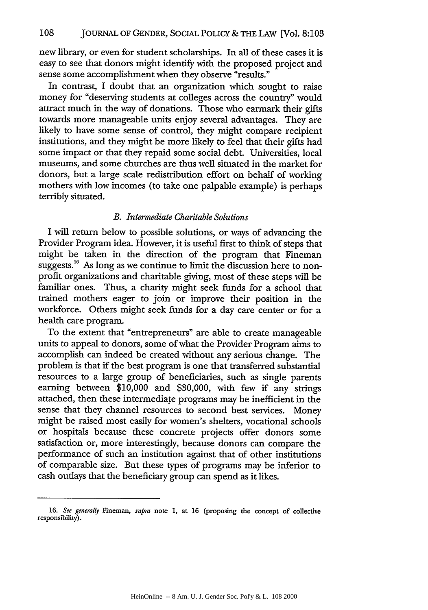new library, or even for student scholarships. In all of these cases it is easy to see that donors might identify with the proposed project and sense some accomplishment when they observe "results."

In contrast, I doubt that an organization which sought to raise money for "deserving students at colleges across the country" would attract much in the way of donations. Those who earmark their gifts towards more manageable units enjoy several advantages. They are likely to have some sense of control, they might compare recipient institutions, and they might be more likely to feel that their gifts had some impact or that they repaid some social debt. Universities, local museums, and some churches are thus well situated in the market for donors, but a large scale redistribution effort on behalf of working mothers with low incomes (to take one palpable example) is perhaps terribly situated.

## *B. Intermediate Charitable Solutions*

I will return below to possible solutions, or ways of advancing the Provider Program idea. However, it is useful first to think of steps that might be taken in the direction of the program that Fineman suggests.<sup>16</sup> As long as we continue to limit the discussion here to nonprofit organizations and charitable giving, most of these steps will be familiar ones. Thus, a charity might seek funds for a school that trained mothers eager to join or improve their position in the workforce. Others might seek funds for a day care center or for a health care program.

To the extent that "entrepreneurs" are able to create manageable units to appeal to donors, some of what the Provider Program aims to accomplish can indeed be created without any serious change. The problem is that if the best program is one that transferred substantial resources to a large group of beneficiaries, such as single parents earning between **\$10,000** and **\$30,000,** with few if any strings attached, then these intermediate programs may be inefficient in the sense that they channel resources to second best services. Money might be raised most easily for women's shelters, vocational schools or hospitals because these concrete projects offer donors some satisfaction or, more interestingly, because donors can compare the performance of such an institution against that of other institutions of comparable size. But these types of programs may be inferior to cash outlays that the beneficiary group can spend as it likes.

<sup>16.</sup> *See generally* Fineman, *supra* note 1, at 16 (proposing the concept of collective responsibility).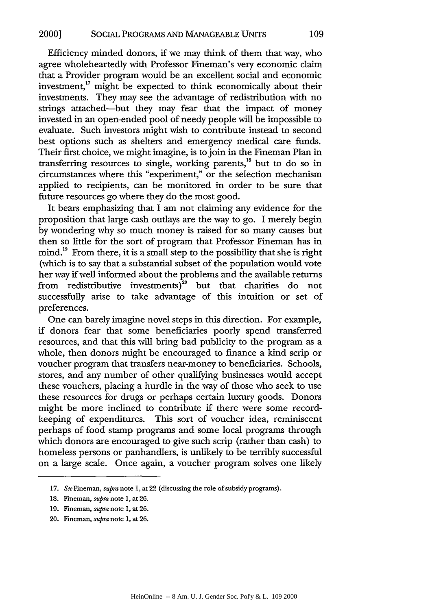Efficiency minded donors, if we may think of them that way, who agree wholeheartedly with Professor Fineman's very economic claim that a Provider program would be an excellent social and economic investment, $\frac{17}{17}$  might be expected to think economically about their investments. They may see the advantage of redistribution with no strings attached-but they may fear that the impact of money invested in an open-ended pool of needy people will be impossible to evaluate. Such investors might wish to contribute instead to second best options such as shelters and emergency medical care funds. Their first choice, we might imagine, is to join in the Fineman Plan in transferring resources to single, working parents,<sup>18</sup> but to do so in circumstances where this "experiment," or the selection mechanism applied to recipients, can be monitored in order to be sure that future resources go where they do the most good.

It bears emphasizing that I am not claiming any evidence for the proposition that large cash outlays are the way to go. I merely begin by wondering why so much money is raised for so many causes but then so little for the sort of program that Professor Fineman has in  $mind.<sup>19</sup>$  From there, it is a small step to the possibility that she is right (which is to say that a substantial subset of the population would vote her way if well informed about the problems and the available returns from redistributive investments)<sup>20</sup> but that charities do not successfully arise to take advantage of this intuition or set of preferences.

One can barely imagine novel steps in this direction. For example, if donors fear that some beneficiaries poorly spend transferred resources, and that this will bring bad publicity to the program as a whole, then donors might be encouraged to finance a kind scrip or voucher program that transfers near-money to beneficiaries. Schools, stores, and any number of other qualifying businesses would accept these vouchers, placing a hurdle in the way of those who seek to use these resources for drugs or perhaps certain luxury goods. Donors might be more inclined to contribute if there were some recordkeeping of expenditures. This sort of voucher idea, reminiscent perhaps of food stamp programs and some local programs through which donors are encouraged to give such scrip (rather than cash) to homeless persons or panhandlers, is unlikely to be terribly successful on a large scale. Once again, a voucher program solves one likely

20. Fineman, *supra* note 1, at 26.

<sup>17.</sup> SeeFineman, *supra* note 1, at 22 (discussing the role of subsidy programs).

<sup>18.</sup> Fineman, *supra* note 1, at 26.

<sup>19.</sup> Fineman, *supra* note 1, at 26.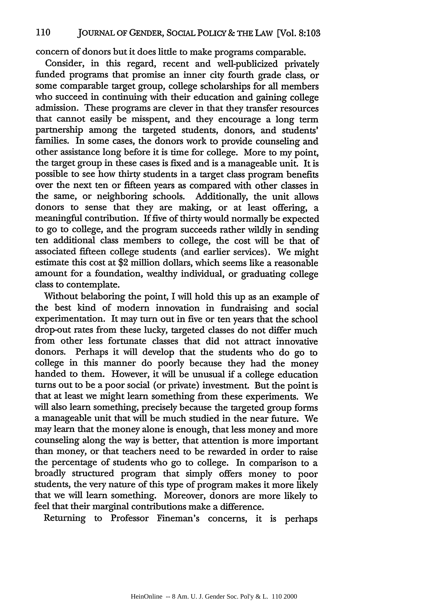concern of donors but it does little to make programs comparable.

Consider, in this regard, recent and well-publicized privately funded programs that promise an inner city fourth grade class, or some comparable target group, college scholarships for all members who succeed in continuing with their education and gaining college admission. These programs are clever in that they transfer resources that cannot easily be misspent, and they encourage a long term partnership among the targeted students, donors, and students' families. In some cases, the donors work to provide counseling and other assistance long before it is time for college. More to my point, the target group in these cases is fixed and is a manageable unit. It is possible to see how thirty students in a target class program benefits over the next ten or fifteen years as compared with other classes in the same, or neighboring schools. Additionally, the unit allows donors to sense that they are making, or at least offering, a meaningful contribution. If five of thirty would normally be expected to go to college, and the program succeeds rather wildly in sending ten additional class members to college, the cost will be that of associated fifteen college students (and earlier services). We might estimate this cost at \$2 million dollars, which seems like a reasonable amount for a foundation, wealthy individual, or graduating college class to contemplate.

Without belaboring the point, I will hold this up as an example of the best kind of modern innovation in fundraising and social experimentation. It may turn out in five or ten years that the school drop-out rates from these lucky, targeted classes do not differ much from other less fortunate classes that did not attract innovative donors. Perhaps it will develop that the students who do go to college in this manner do poorly because they had the money handed to them. However, it will be unusual if a college education turns out to be a poor social (or private) investment. But the point is that at least we might learn something from these experiments. We will also learn something, precisely because the targeted group forms a manageable unit that will be much studied in the near future. We may learn that the money alone is enough, that less money and more counseling along the way is better, that attention is more important than money, or that teachers need to be rewarded in order to raise the percentage of students who go to college. In comparison to a broadly structured program that simply offers money to poor students, the very nature of this type of program makes it more likely that we will learn something. Moreover, donors are more likely to feel that their marginal contributions make a difference.

Returning to Professor Fineman's concerns, it is perhaps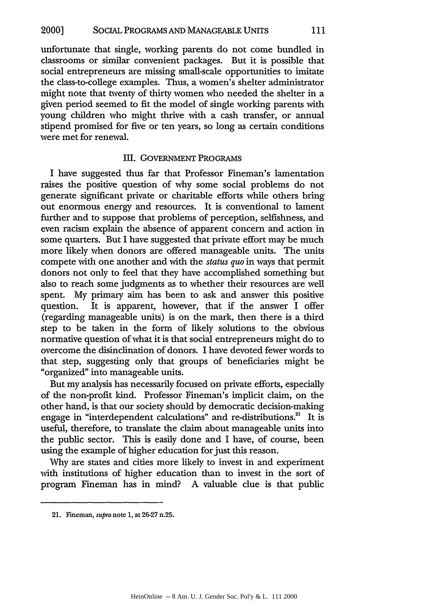unfortunate that single, working parents do not come bundled in classrooms or similar convenient packages. But it is possible that social entrepreneurs are missing small-scale opportunities to imitate the class-to-college examples. Thus, a women's shelter administrator might note that twenty of thirty women who needed the shelter in a given period seemed to fit the model of single working parents with young children who might thrive with a cash transfer, or annual stipend promised for five or ten years, so long as certain conditions were met for renewal.

#### III. GOVERNMENT PROGRAMS

I have suggested thus far that Professor Fineman's lamentation raises the positive question of why some social problems do not generate significant private or charitable efforts while others bring out enormous energy and resources. It is conventional to lament further and to suppose that problems of perception, selfishness, and even racism explain the absence of apparent concern and action in some quarters. But I have suggested that private effort may be much more likely when donors are offered manageable units. The units compete with one another and with the *status quo* in ways that permit donors not only to feel that they have accomplished something but also to reach some judgments as to whether their resources are well spent. My primary aim has been to ask and answer this positive question. It is apparent, however, that if the answer I offer (regarding manageable units) is on the mark, then there is a third step to be taken in the form of likely solutions to the obvious normative question of what it is that social entrepreneurs might do to overcome the disinclination of donors. I have devoted fewer words to that step, suggesting only that groups of beneficiaries might be "organized" into manageable units.

But my analysis has necessarily focused on private efforts, especially of the non-profit kind. Professor Fineman's implicit claim, on the other hand, is that our society should by democratic decision-making engage in "interdependent calculations" and re-distributions.<sup>21</sup> It is useful, therefore, to translate the claim about manageable units into the public sector. This is easily done and I have, of course, been using the example of higher education for just this reason.

Why are states and cities more likely to invest in and experiment with institutions of higher education than to invest in the sort of program Fineman has in mind? A valuable clue is that public

<sup>21.</sup> Fineman, supra note 1, at 26-27 n.25.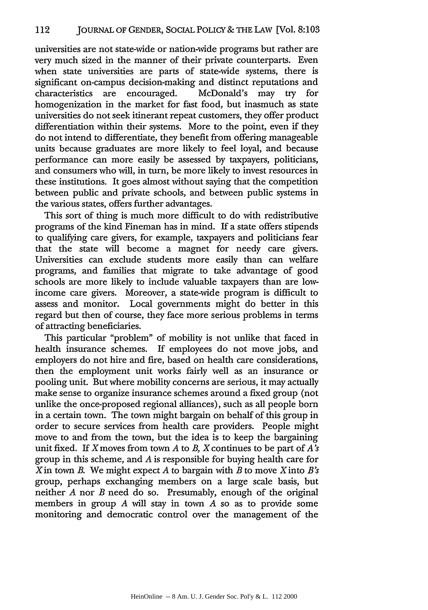universities are not state-wide or nation-wide programs but rather are very much sized in the manner of their private counterparts. Even when state universities are parts of state-wide systems, there is significant on-campus decision-making and distinct reputations and characteristics are encouraged. McDonald's may try for homogenization in the market for fast food, but inasmuch as state universities do not seek itinerant repeat customers, they offer product differentiation within their systems. More to the point, even if they do not intend to differentiate, they benefit from offering manageable units because graduates are more likely to feel loyal, and because performance can more easily be assessed by taxpayers, politicians, and consumers who will, in turn, be more likely to invest resources in these institutions. It goes almost without saying that the competition between public and private schools, and between public systems in the various states, offers further advantages.

This sort of thing is much more difficult to do with redistributive programs of the kind Fineman has in mind. If a state offers stipends to qualifying care givers, for example, taxpayers and politicians fear that the state will become a magnet for needy care givers. Universities can exclude students more easily than can welfare programs, and families that migrate to take advantage of good schools are more likely to include valuable taxpayers than are lowincome care givers. Moreover, a state-wide program is difficult to assess and monitor. Local governments might do better in this regard but then of course, they face more serious problems in terms of attracting beneficiaries.

This particular "problem" of mobility is not unlike that faced in health insurance schemes. If employees do not move jobs, and employers do not hire and fire, based on health care considerations, then the employment unit works fairly well as an insurance or pooling unit. But where mobility concerns are serious, it may actually make sense to organize insurance schemes around a fixed group (not unlike the once-proposed regional alliances), such as all people born in a certain town. The town might bargain on behalf of this group in order to secure services from health care providers. People might move to and from the town, but the idea is to keep the bargaining unit fixed. If Xmoves from town *A* to *B, X* continues to be part of *A's* group in this scheme, and *A* is responsible for buying health care for X in town *B*. We might expect *A* to bargain with *B* to move *X* into *B*'s group, perhaps exchanging members on a large scale basis, but neither *A* nor *B* need do so. Presumably, enough of the original members in group *A* will stay in town *A* so as to provide some monitoring and democratic control over the management of the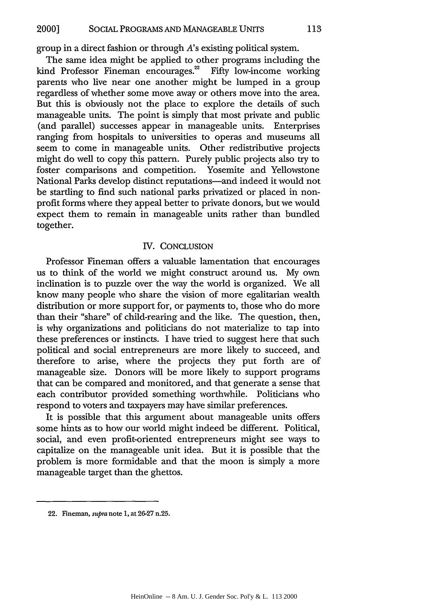group in a direct fashion or through *A's* existing political system.

The same idea might be applied to other programs including the kind Professor Fineman encourages.<sup>22</sup> Fifty low-income working parents who live near one another might be lumped in a group regardless of whether some move away or others move into the area. But this is obviously not the place to explore the details of such manageable units. The point is simply that most private and public (and parallel) successes appear in manageable units. Enterprises ranging from hospitals to universities to operas and museums all seem to come in manageable units. Other redistributive projects might do well to copy this pattern. Purely public projects also try to foster comparisons and competition. Yosemite and Yellowstone National Parks develop distinct reputations-and indeed it would not be startling to find such national parks privatized or placed in nonprofit forms where they appeal better to private donors, but we would expect them to remain in manageable units rather than bundled together.

### IV. CONCLUSION

Professor Fineman offers a valuable lamentation that encourages us to think of the world we might construct around us. My own inclination is to puzzle over the way the world is organized. We all know many people who share the vision of more egalitarian wealth distribution or more support for, or payments to, those who do more than their "share" of child-rearing and the like. The question, then, is why organizations and politicians do not materialize to tap into these preferences or instincts. I have tried to suggest here that such political and social entrepreneurs are more likely to succeed, and therefore to arise, where the projects they put forth are of manageable size. Donors will be more likely to support programs that can be compared and monitored, and that generate a sense that each contributor provided something worthwhile. Politicians who respond to voters and taxpayers may have similar preferences.

It is possible that this argument about manageable units offers some hints as to how our world might indeed be different. Political, social, and even profit-oriented entrepreneurs might see ways to capitalize on the manageable unit idea. But it is possible that the problem is more formidable and that the moon is simply a more manageable target than the ghettos.

<sup>22.</sup> Fineman, *supra* note 1, at 26-27 n.25.